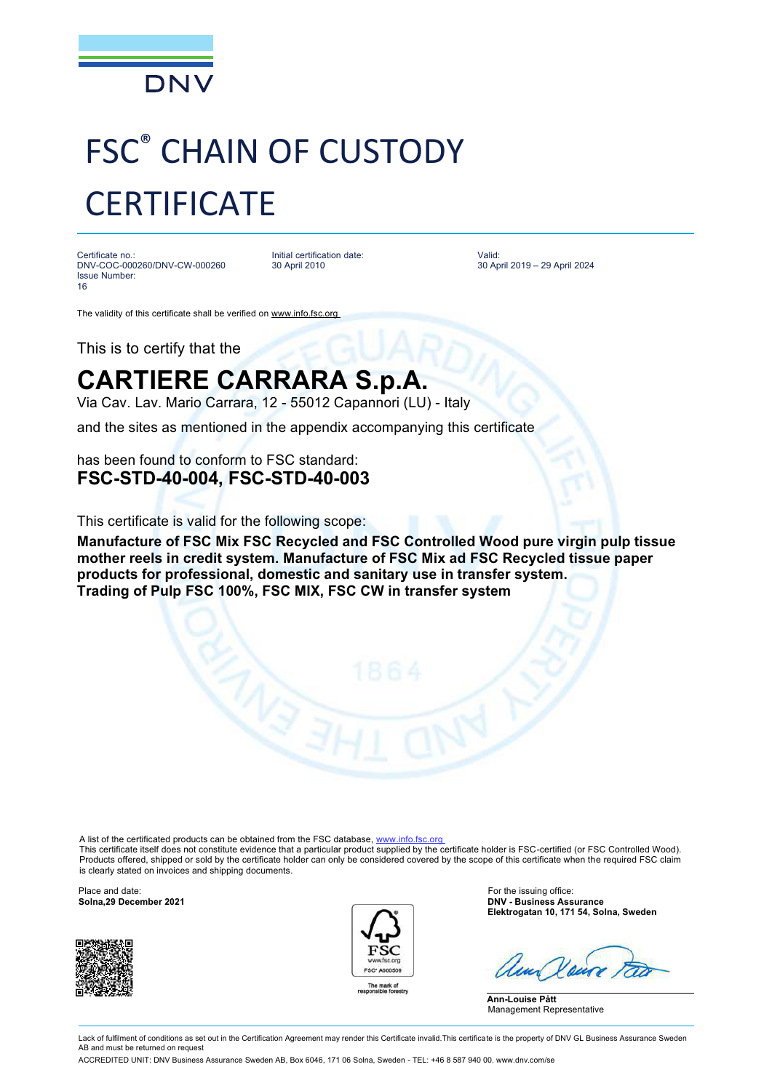

## FSC® CHAIN OF CUSTODY **CERTIFICATE**

Certificate no.: DNV-COC-000260/DNV-CW-000260 Issue Number: 16

Initial certification date: 30 April 2010

Valid: 30 April 2019 – 29 April 2024

The validity of this certificate shall be verified on [www.info.fsc.org](http://www.info.fsc.org) 

This is to certify that the

## **CARTIERE CARRARA S.p.A.**

Via Cav. Lav. Mario Carrara, 12 - 55012 Capannori (LU) - Italy

and the sites as mentioned in the appendix accompanying this certificate

has been found to conform to FSC standard: **FSC-STD-40-004, FSC-STD-40-003**

This certificate is valid for the following scope:

**Manufacture of FSC Mix FSC Recycled and FSC Controlled Wood pure virgin pulp tissue mother reels in credit system. Manufacture of FSC Mix ad FSC Recycled tissue paper products for professional, domestic and sanitary use in transfer system. Trading of Pulp FSC 100%, FSC MIX, FSC CW in transfer system**

A list of the certificated products can be obtained from the FSC database, www.info.fsc.org

This certificate itself does not constitute evidence that a particular product supplied by the certificate holder is FSC-certified (or FSC Controlled Wood). Products offered, shipped or sold by the certificate holder can only be considered covered by the scope of this certificate when the required FSC claim is clearly stated on invoices and shipping documents.

Place and date: **For the issuing office:** For the issuing office: **Solna,29 December 2021 Contract Contract Contract Contract Contract Contract Contract Contract Contract Contract Contract Contract Contract Contract Cont** 





**Solna,29 December 2021 DNV - Business Assurance Elektrogatan 10, 171 54, Solna, Sweden**

**Ann-Louise Pått** Management Representative

Lack of fulfilment of conditions as set out in the Certification Agreement may render this Certificate invalid. This certificate is the property of DNV GL Business Assurance Sweden AB and must be returned on reques ACCREDITED UNIT: DNV Business Assurance Sweden AB, Box 6046, 171 06 Solna, Sweden - TEL: +46 8 587 940 00. [www.dnv.com/se](http://www.dnv.com/se)